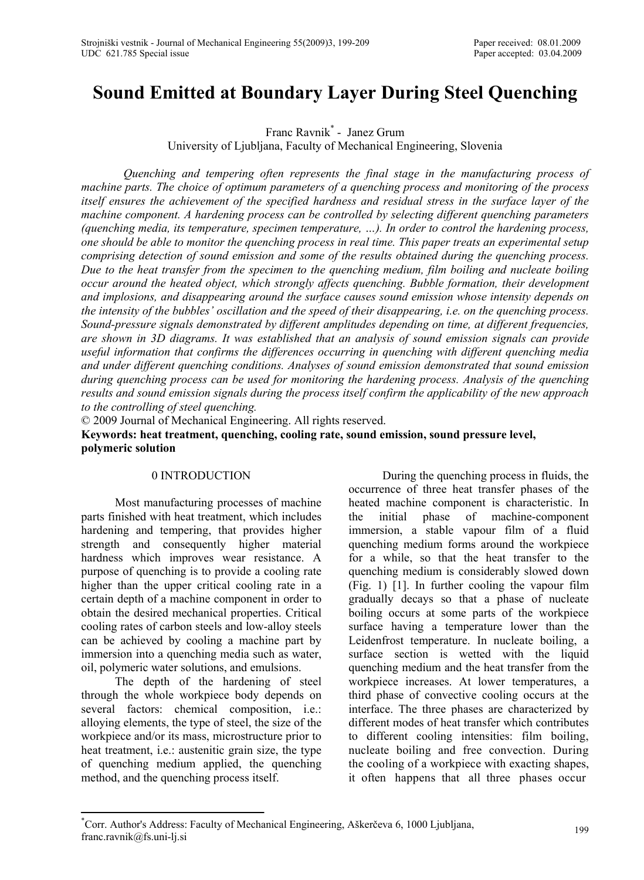# **Sound Emitted at Boundary Layer During Steel Quenching**

Franc Ravnik\* - Janez Grum University of Ljubljana, Faculty of Mechanical Engineering, Slovenia

*Quenching and tempering often represents the final stage in the manufacturing process of machine parts. The choice of optimum parameters of a quenching process and monitoring of the process itself ensures the achievement of the specified hardness and residual stress in the surface layer of the machine component. A hardening process can be controlled by selecting different quenching parameters (quenching media, its temperature, specimen temperature, …). In order to control the hardening process, one should be able to monitor the quenching process in real time. This paper treats an experimental setup comprising detection of sound emission and some of the results obtained during the quenching process. Due to the heat transfer from the specimen to the quenching medium, film boiling and nucleate boiling occur around the heated object, which strongly affects quenching. Bubble formation, their development and implosions, and disappearing around the surface causes sound emission whose intensity depends on the intensity of the bubbles' oscillation and the speed of their disappearing, i.e. on the quenching process. Sound-pressure signals demonstrated by different amplitudes depending on time, at different frequencies, are shown in 3D diagrams. It was established that an analysis of sound emission signals can provide useful information that confirms the differences occurring in quenching with different quenching media and under different quenching conditions. Analyses of sound emission demonstrated that sound emission during quenching process can be used for monitoring the hardening process. Analysis of the quenching results and sound emission signals during the process itself confirm the applicability of the new approach to the controlling of steel quenching.* 

© 2009 Journal of Mechanical Engineering. All rights reserved.

**Keywords: heat treatment, quenching, cooling rate, sound emission, sound pressure level, polymeric solution** 

## 0 INTRODUCTION

Most manufacturing processes of machine parts finished with heat treatment, which includes hardening and tempering, that provides higher strength and consequently higher material hardness which improves wear resistance. A purpose of quenching is to provide a cooling rate higher than the upper critical cooling rate in a certain depth of a machine component in order to obtain the desired mechanical properties. Critical cooling rates of carbon steels and low-alloy steels can be achieved by cooling a machine part by immersion into a quenching media such as water, oil, polymeric water solutions, and emulsions.

The depth of the hardening of steel through the whole workpiece body depends on several factors: chemical composition, i.e.: alloying elements, the type of steel, the size of the workpiece and/or its mass, microstructure prior to heat treatment, i.e.: austenitic grain size, the type of quenching medium applied, the quenching method, and the quenching process itself.

During the quenching process in fluids, the occurrence of three heat transfer phases of the heated machine component is characteristic. In the initial phase of machine-component immersion, a stable vapour film of a fluid quenching medium forms around the workpiece for a while, so that the heat transfer to the quenching medium is considerably slowed down (Fig. 1) [1]. In further cooling the vapour film gradually decays so that a phase of nucleate boiling occurs at some parts of the workpiece surface having a temperature lower than the Leidenfrost temperature. In nucleate boiling, a surface section is wetted with the liquid quenching medium and the heat transfer from the workpiece increases. At lower temperatures, a third phase of convective cooling occurs at the interface. The three phases are characterized by different modes of heat transfer which contributes to different cooling intensities: film boiling, nucleate boiling and free convection. During the cooling of a workpiece with exacting shapes, it often happens that all three phases occur

<sup>\*</sup> Corr. Author's Address: Faculty of Mechanical Engineering, Aškerčeva 6, 1000 Ljubljana, franc.ravnik@fs.uni-lj.si <sup>199</sup>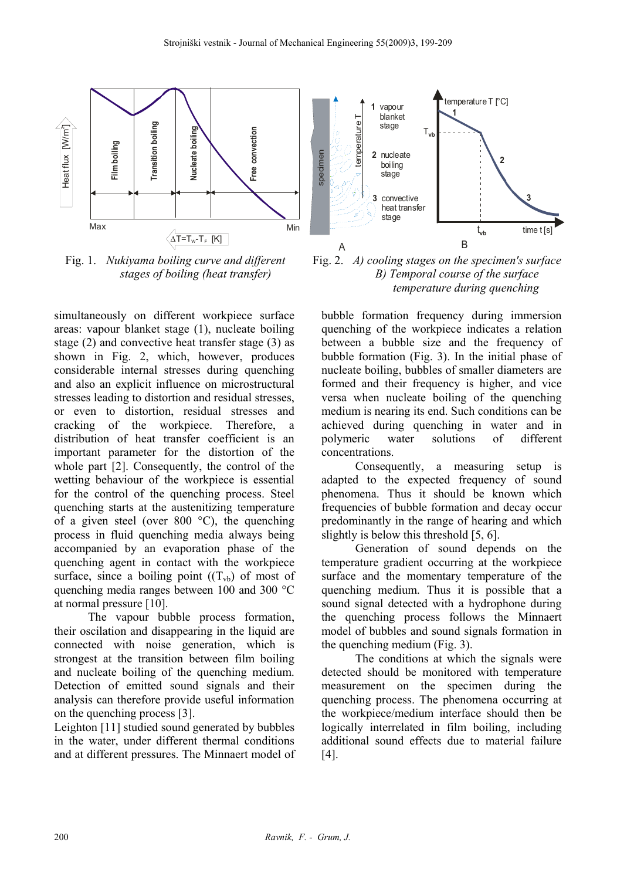

Fig. 1. *Nukiyama boiling curve and different stages of boiling (heat transfer)*

simultaneously on different workpiece surface areas: vapour blanket stage (1), nucleate boiling stage (2) and convective heat transfer stage (3) as shown in Fig. 2, which, however, produces considerable internal stresses during quenching and also an explicit influence on microstructural stresses leading to distortion and residual stresses, or even to distortion, residual stresses and cracking of the workpiece. Therefore, a distribution of heat transfer coefficient is an important parameter for the distortion of the whole part [2]. Consequently, the control of the wetting behaviour of the workpiece is essential for the control of the quenching process. Steel quenching starts at the austenitizing temperature of a given steel (over 800  $^{\circ}$ C), the quenching process in fluid quenching media always being accompanied by an evaporation phase of the quenching agent in contact with the workpiece surface, since a boiling point  $((T_{vb})$  of most of quenching media ranges between 100 and 300 °C at normal pressure [10].

The vapour bubble process formation, their oscilation and disappearing in the liquid are connected with noise generation, which is strongest at the transition between film boiling and nucleate boiling of the quenching medium. Detection of emitted sound signals and their analysis can therefore provide useful information on the quenching process [3].

Leighton [11] studied sound generated by bubbles in the water, under different thermal conditions and at different pressures. The Minnaert model of



Fig. 2. *A) cooling stages on the specimen's surface B) Temporal course of the surface temperature during quenching* 

bubble formation frequency during immersion quenching of the workpiece indicates a relation between a bubble size and the frequency of bubble formation (Fig. 3). In the initial phase of nucleate boiling, bubbles of smaller diameters are formed and their frequency is higher, and vice versa when nucleate boiling of the quenching medium is nearing its end. Such conditions can be achieved during quenching in water and in polymeric water solutions of different concentrations.

Consequently, a measuring setup is adapted to the expected frequency of sound phenomena. Thus it should be known which frequencies of bubble formation and decay occur predominantly in the range of hearing and which slightly is below this threshold [5, 6].

Generation of sound depends on the temperature gradient occurring at the workpiece surface and the momentary temperature of the quenching medium. Thus it is possible that a sound signal detected with a hydrophone during the quenching process follows the Minnaert model of bubbles and sound signals formation in the quenching medium (Fig. 3).

The conditions at which the signals were detected should be monitored with temperature measurement on the specimen during the quenching process. The phenomena occurring at the workpiece/medium interface should then be logically interrelated in film boiling, including additional sound effects due to material failure [4].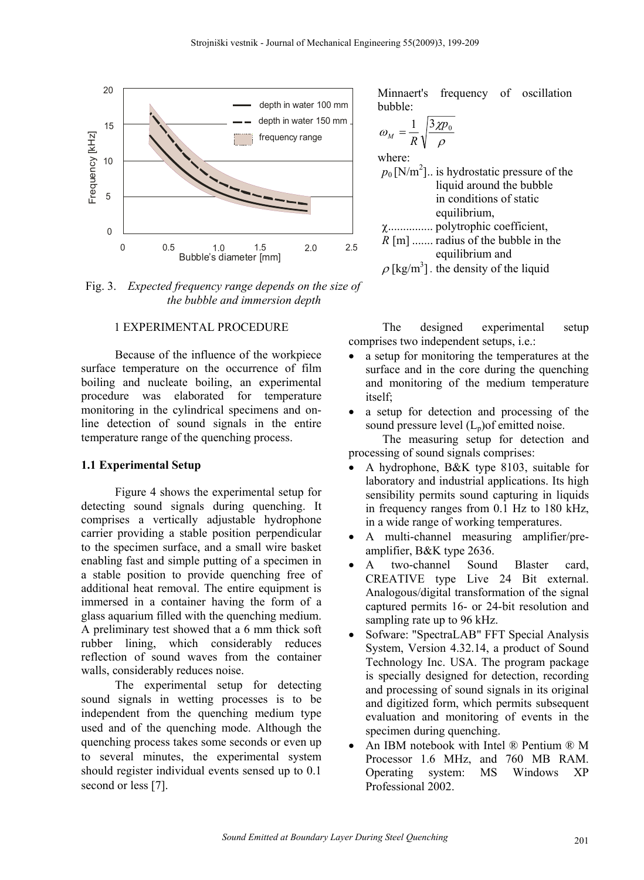

Fig. 3. *Expected frequency range depends on the size of the bubble and immersion depth*

## 1 EXPERIMENTAL PROCEDURE

Because of the influence of the workpiece surface temperature on the occurrence of film boiling and nucleate boiling, an experimental procedure was elaborated for temperature monitoring in the cylindrical specimens and online detection of sound signals in the entire temperature range of the quenching process.

#### **1.1 Experimental Setup**

Figure 4 shows the experimental setup for detecting sound signals during quenching. It comprises a vertically adjustable hydrophone carrier providing a stable position perpendicular to the specimen surface, and a small wire basket enabling fast and simple putting of a specimen in a stable position to provide quenching free of additional heat removal. The entire equipment is immersed in a container having the form of a glass aquarium filled with the quenching medium. A preliminary test showed that a 6 mm thick soft rubber lining, which considerably reduces reflection of sound waves from the container walls, considerably reduces noise.

The experimental setup for detecting sound signals in wetting processes is to be independent from the quenching medium type used and of the quenching mode. Although the quenching process takes some seconds or even up to several minutes, the experimental system should register individual events sensed up to 0.1 second or less [7].

Minnaert's frequency of oscillation bubble:

$$
\omega_M = \frac{1}{R} \sqrt{\frac{3\chi p_0}{\rho}}
$$

where:  $p_0$  [N/m<sup>2</sup>].. is hydrostatic pressure of the liquid around the bubble in conditions of static equilibrium, χ............... polytrophic coefficient, *R* [m] ....... radius of the bubble in the equilibrium and

 $\rho$  [kg/m<sup>3</sup>]. the density of the liquid

The designed experimental setup comprises two independent setups, i.e.:

- a setup for monitoring the temperatures at the surface and in the core during the quenching and monitoring of the medium temperature itself;
- a setup for detection and processing of the sound pressure level  $(L_n)$ of emitted noise.

The measuring setup for detection and processing of sound signals comprises:

- A hydrophone, B&K type 8103, suitable for laboratory and industrial applications. Its high sensibility permits sound capturing in liquids in frequency ranges from 0.1 Hz to 180 kHz, in a wide range of working temperatures.
- A multi-channel measuring amplifier/preamplifier, B&K type 2636.
- A two-channel Sound Blaster card, CREATIVE type Live 24 Bit external. Analogous/digital transformation of the signal captured permits 16- or 24-bit resolution and sampling rate up to 96 kHz.
- Sofware: "SpectraLAB" FFT Special Analysis System, Version 4.32.14, a product of Sound Technology Inc. USA. The program package is specially designed for detection, recording and processing of sound signals in its original and digitized form, which permits subsequent evaluation and monitoring of events in the specimen during quenching.
- An IBM notebook with Intel ® Pentium ® M Processor 1.6 MHz, and 760 MB RAM. Operating system: MS Windows XP Professional 2002.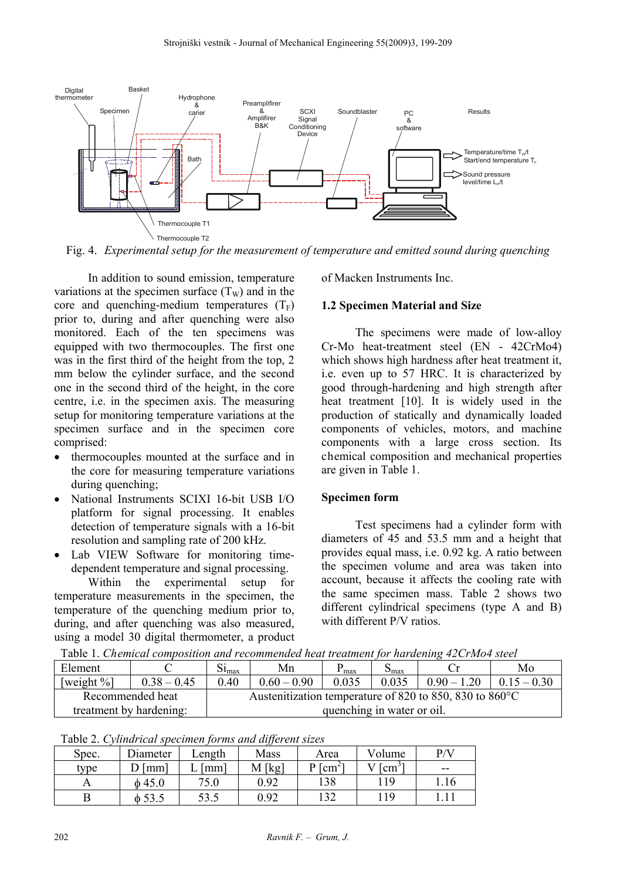

Fig. 4. *Experimental setup for the measurement of temperature and emitted sound during quenching* 

In addition to sound emission, temperature variations at the specimen surface  $(T_w)$  and in the core and quenching-medium temperatures  $(T_F)$ prior to, during and after quenching were also monitored. Each of the ten specimens was equipped with two thermocouples. The first one was in the first third of the height from the top, 2 mm below the cylinder surface, and the second one in the second third of the height, in the core centre, i.e. in the specimen axis. The measuring setup for monitoring temperature variations at the specimen surface and in the specimen core comprised:

- thermocouples mounted at the surface and in the core for measuring temperature variations during quenching;
- National Instruments SCIXI 16-bit USB I/O platform for signal processing. It enables detection of temperature signals with a 16-bit resolution and sampling rate of 200 kHz.
- Lab VIEW Software for monitoring timedependent temperature and signal processing.

Within the experimental setup for temperature measurements in the specimen, the temperature of the quenching medium prior to, during, and after quenching was also measured, using a model 30 digital thermometer, a product of Macken Instruments Inc.

## **1.2 Specimen Material and Size**

The specimens were made of low-alloy Cr-Mo heat-treatment steel (EN - 42CrMo4) which shows high hardness after heat treatment it, i.e. even up to 57 HRC. It is characterized by good through-hardening and high strength after heat treatment [10]. It is widely used in the production of statically and dynamically loaded components of vehicles, motors, and machine components with a large cross section. Its chemical composition and mechanical properties are given in Table 1.

## **Specimen form**

Test specimens had a cylinder form with diameters of 45 and 53.5 mm and a height that provides equal mass, i.e. 0.92 kg. A ratio between the specimen volume and area was taken into account, because it affects the cooling rate with the same specimen mass. Table 2 shows two different cylindrical specimens (type A and B) with different P/V ratios.

Element  $C$   $Si<sub>max</sub>$  Mn  $P<sub>max</sub>$  S<sub>max</sub> Cr Mo  $[weight \%]$   $[0.38 - 0.45]$   $[0.40$   $[0.60 - 0.90]$   $[0.035$   $[0.035]$   $[0.90 - 1.20]$   $[0.15 - 0.30]$ Recommended heat treatment by hardening: Austenitization temperature of 820 to 850, 830 to 860°C quenching in water or oil.

Table 1. *Chemical composition and recommended heat treatment for hardening 42CrMo4 steel* 

| Table 2. Cylindrical specimen forms and different sizes |             |                 |        |                  |               |      |  |  |  |  |
|---------------------------------------------------------|-------------|-----------------|--------|------------------|---------------|------|--|--|--|--|
| Spec.                                                   | Diameter    | Length          | Mass   | Area             | Volume        | P/V  |  |  |  |  |
| type                                                    | [mm]        | mm <sup>1</sup> | M [kg] | $P \text{[cm}^2$ | $\sim$ $\sim$ | --   |  |  |  |  |
|                                                         | $\phi$ 45.0 | 75.0            | 0.92   | 138              | 119           | 1.16 |  |  |  |  |
|                                                         |             | 53.5            | 0.92   | 132              | 119           |      |  |  |  |  |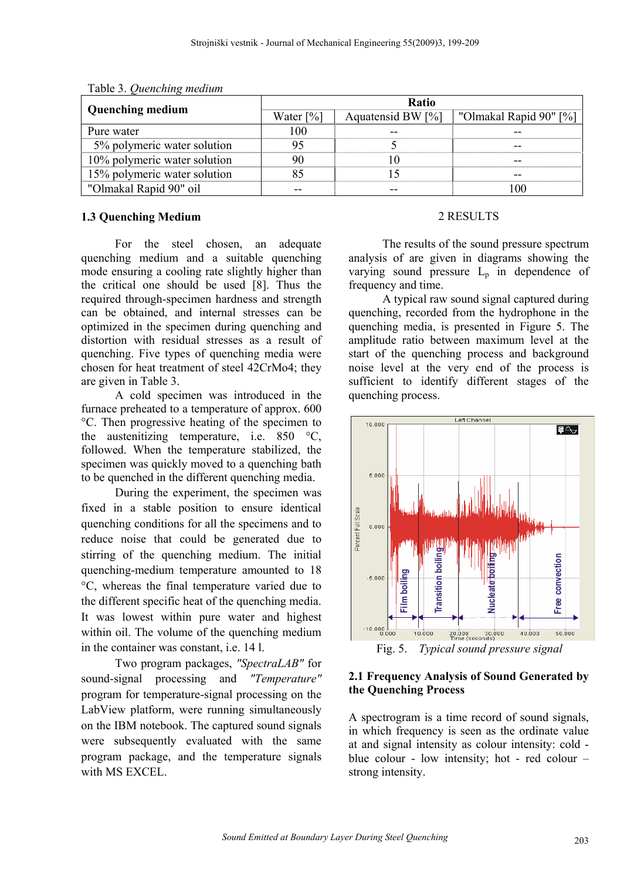|                              | Ratio                   |                   |                        |  |  |  |
|------------------------------|-------------------------|-------------------|------------------------|--|--|--|
| <b>Quenching medium</b>      | Water $\lceil\% \rceil$ | Aquatensid BW [%] | "Olmakal Rapid 90" [%] |  |  |  |
| Pure water                   | ഥറ                      |                   |                        |  |  |  |
| 5% polymeric water solution  |                         |                   |                        |  |  |  |
| 10% polymeric water solution |                         |                   |                        |  |  |  |
| 15% polymeric water solution |                         |                   |                        |  |  |  |
| "Olmakal Rapid 90" oil       |                         |                   |                        |  |  |  |

Table 3. *Quenching medium* 

## **1.3 Quenching Medium**

For the steel chosen, an adequate quenching medium and a suitable quenching mode ensuring a cooling rate slightly higher than the critical one should be used [8]. Thus the required through-specimen hardness and strength can be obtained, and internal stresses can be optimized in the specimen during quenching and distortion with residual stresses as a result of quenching. Five types of quenching media were chosen for heat treatment of steel 42CrMo4; they are given in Table 3.

A cold specimen was introduced in the furnace preheated to a temperature of approx. 600 °C. Then progressive heating of the specimen to the austenitizing temperature, i.e. 850 °C, followed. When the temperature stabilized, the specimen was quickly moved to a quenching bath to be quenched in the different quenching media.

During the experiment, the specimen was fixed in a stable position to ensure identical quenching conditions for all the specimens and to reduce noise that could be generated due to stirring of the quenching medium. The initial quenching-medium temperature amounted to 18 °C, whereas the final temperature varied due to the different specific heat of the quenching media. It was lowest within pure water and highest within oil. The volume of the quenching medium in the container was constant, i.e. 14 l.

Two program packages, *"SpectraLAB"* for sound-signal processing and *"Temperature"* program for temperature-signal processing on the LabView platform, were running simultaneously on the IBM notebook. The captured sound signals were subsequently evaluated with the same program package, and the temperature signals with MS EXCEL.

## 2 RESULTS

The results of the sound pressure spectrum analysis of are given in diagrams showing the varying sound pressure  $L<sub>p</sub>$  in dependence of frequency and time.

A typical raw sound signal captured during quenching, recorded from the hydrophone in the quenching media, is presented in Figure 5. The amplitude ratio between maximum level at the start of the quenching process and background noise level at the very end of the process is sufficient to identify different stages of the quenching process.



Fig. 5. *Typical sound pressure signal*

## **2.1 Frequency Analysis of Sound Generated by the Quenching Process**

A spectrogram is a time record of sound signals, in which frequency is seen as the ordinate value at and signal intensity as colour intensity: cold blue colour - low intensity; hot - red colour – strong intensity.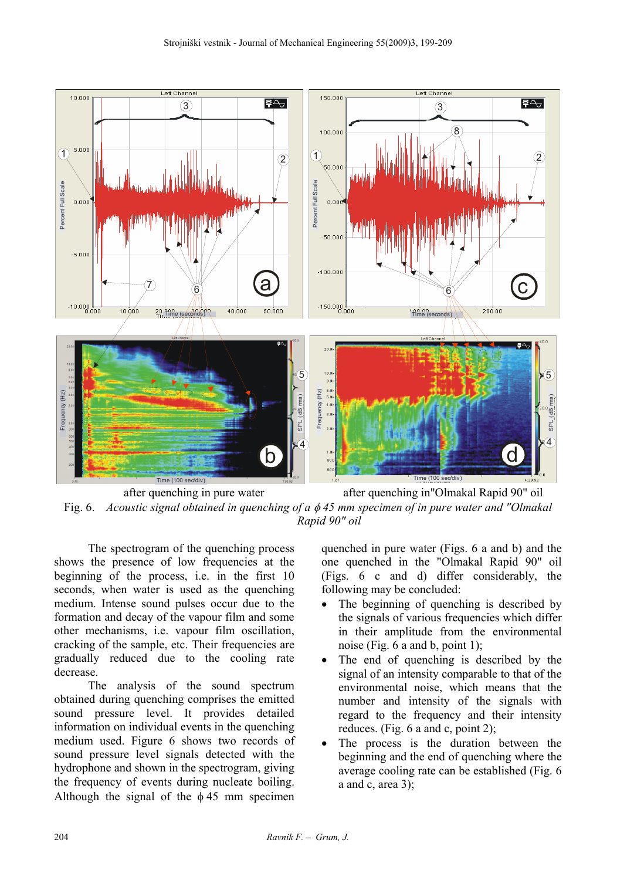

 after quenching in pure water after quenching in"Olmakal Rapid 90" oil Fig. 6. *Acoustic signal obtained in quenching of a* φ *45 mm specimen of in pure water and "Olmakal Rapid 90" oil* 

The spectrogram of the quenching process shows the presence of low frequencies at the beginning of the process, i.e. in the first 10 seconds, when water is used as the quenching medium. Intense sound pulses occur due to the formation and decay of the vapour film and some other mechanisms, i.e. vapour film oscillation, cracking of the sample, etc. Their frequencies are gradually reduced due to the cooling rate decrease.

The analysis of the sound spectrum obtained during quenching comprises the emitted sound pressure level. It provides detailed information on individual events in the quenching medium used. Figure 6 shows two records of sound pressure level signals detected with the hydrophone and shown in the spectrogram, giving the frequency of events during nucleate boiling. Although the signal of the  $\phi$  45 mm specimen quenched in pure water (Figs. 6 a and b) and the one quenched in the "Olmakal Rapid 90" oil (Figs. 6 c and d) differ considerably, the following may be concluded:

- The beginning of quenching is described by the signals of various frequencies which differ in their amplitude from the environmental noise (Fig. 6 a and b, point 1);
- The end of quenching is described by the signal of an intensity comparable to that of the environmental noise, which means that the number and intensity of the signals with regard to the frequency and their intensity reduces. (Fig. 6 a and c, point 2);
- The process is the duration between the beginning and the end of quenching where the average cooling rate can be established (Fig. 6 a and c, area 3);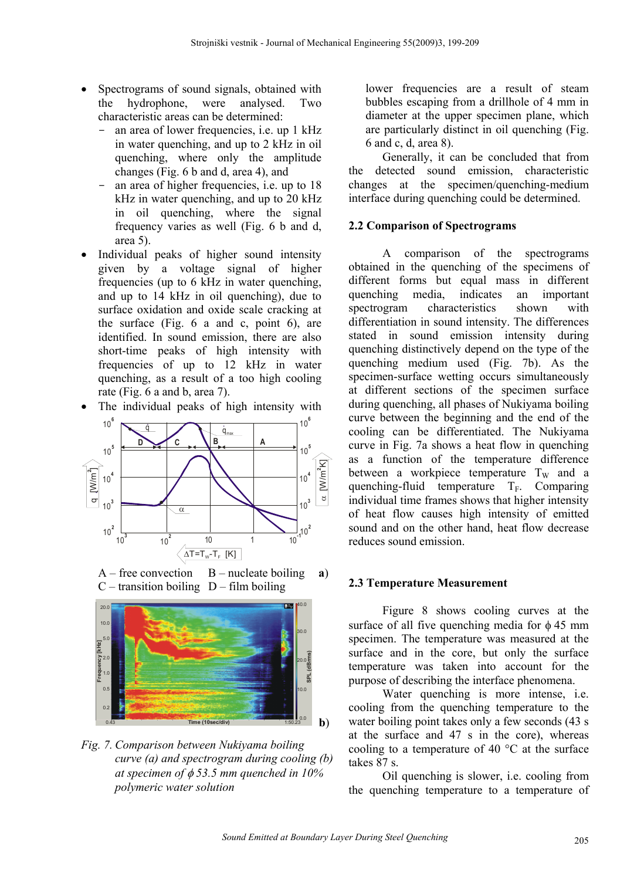- Spectrograms of sound signals, obtained with the hydrophone, were analysed. Two characteristic areas can be determined:
	- an area of lower frequencies, i.e. up 1 kHz in water quenching, and up to 2 kHz in oil quenching, where only the amplitude changes (Fig. 6 b and d, area 4), and
	- an area of higher frequencies, i.e. up to 18 kHz in water quenching, and up to 20 kHz in oil quenching, where the signal frequency varies as well (Fig. 6 b and d, area 5).
- Individual peaks of higher sound intensity given by a voltage signal of higher frequencies (up to 6 kHz in water quenching, and up to 14 kHz in oil quenching), due to surface oxidation and oxide scale cracking at the surface (Fig. 6 a and c, point 6), are identified. In sound emission, there are also short-time peaks of high intensity with frequencies of up to 12 kHz in water quenching, as a result of a too high cooling rate (Fig. 6 a and b, area 7).
- The individual peaks of high intensity with



 $A$  – free convection  $B$  – nucleate boiling **a**)  $C$  – transition boiling  $D$  – film boiling



*Fig. 7. Comparison between Nukiyama boiling curve (a) and spectrogram during cooling (b) at specimen of* φ *53.5 mm quenched in 10% polymeric water solution* 

lower frequencies are a result of steam bubbles escaping from a drillhole of 4 mm in diameter at the upper specimen plane, which are particularly distinct in oil quenching (Fig. 6 and c, d, area 8).

Generally, it can be concluded that from the detected sound emission, characteristic changes at the specimen/quenching-medium interface during quenching could be determined.

## **2.2 Comparison of Spectrograms**

A comparison of the spectrograms obtained in the quenching of the specimens of different forms but equal mass in different quenching media, indicates an important spectrogram characteristics shown with differentiation in sound intensity. The differences stated in sound emission intensity during quenching distinctively depend on the type of the quenching medium used (Fig. 7b). As the specimen-surface wetting occurs simultaneously at different sections of the specimen surface during quenching, all phases of Nukiyama boiling curve between the beginning and the end of the cooling can be differentiated. The Nukiyama curve in Fig. 7a shows a heat flow in quenching as a function of the temperature difference between a workpiece temperature  $T_W$  and a quenching-fluid temperature  $T_F$ . Comparing individual time frames shows that higher intensity of heat flow causes high intensity of emitted sound and on the other hand, heat flow decrease reduces sound emission.

## **2.3 Temperature Measurement**

Figure 8 shows cooling curves at the surface of all five quenching media for  $\phi$  45 mm specimen. The temperature was measured at the surface and in the core, but only the surface temperature was taken into account for the purpose of describing the interface phenomena.

Water quenching is more intense, i.e. cooling from the quenching temperature to the water boiling point takes only a few seconds (43 s) at the surface and 47 s in the core), whereas cooling to a temperature of 40 °C at the surface takes 87 s.

Oil quenching is slower, i.e. cooling from the quenching temperature to a temperature of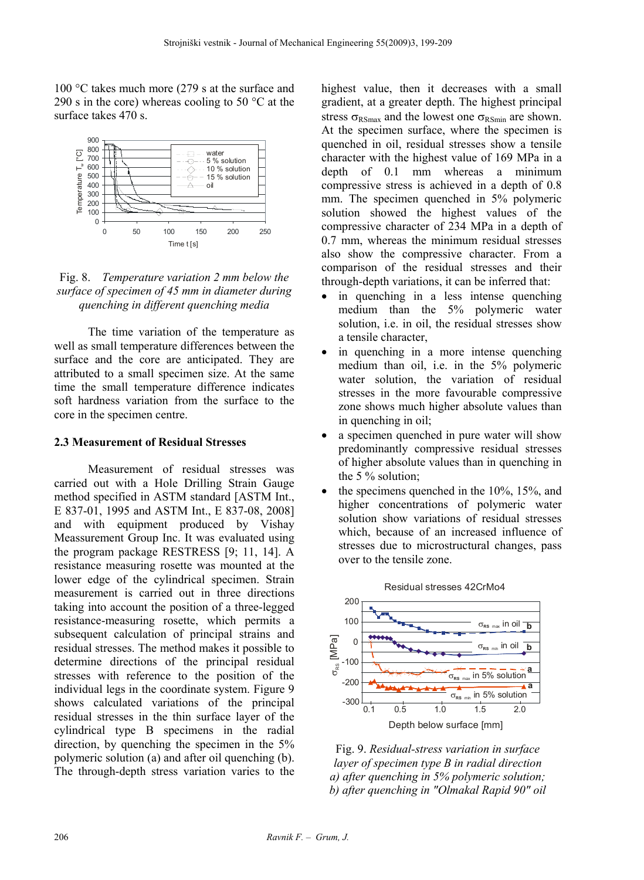100 °C takes much more (279 s at the surface and 290 s in the core) whereas cooling to 50  $\degree$ C at the surface takes 470 s.



Fig. 8. *Temperature variation 2 mm below the surface of specimen of 45 mm in diameter during quenching in different quenching media* 

The time variation of the temperature as well as small temperature differences between the surface and the core are anticipated. They are attributed to a small specimen size. At the same time the small temperature difference indicates soft hardness variation from the surface to the core in the specimen centre.

#### **2.3 Measurement of Residual Stresses**

Measurement of residual stresses was carried out with a Hole Drilling Strain Gauge method specified in ASTM standard [ASTM Int., E 837-01, 1995 and ASTM Int., E 837-08, 2008] and with equipment produced by Vishay Meassurement Group Inc. It was evaluated using the program package RESTRESS [9; 11, 14]. A resistance measuring rosette was mounted at the lower edge of the cylindrical specimen. Strain measurement is carried out in three directions taking into account the position of a three-legged resistance-measuring rosette, which permits a subsequent calculation of principal strains and residual stresses. The method makes it possible to determine directions of the principal residual stresses with reference to the position of the individual legs in the coordinate system. Figure 9 shows calculated variations of the principal residual stresses in the thin surface layer of the cylindrical type B specimens in the radial direction, by quenching the specimen in the 5% polymeric solution (a) and after oil quenching (b). The through-depth stress variation varies to the highest value, then it decreases with a small gradient, at a greater depth. The highest principal stress  $\sigma_{RSmax}$  and the lowest one  $\sigma_{RSmin}$  are shown. At the specimen surface, where the specimen is quenched in oil, residual stresses show a tensile character with the highest value of 169 MPa in a depth of 0.1 mm whereas a minimum compressive stress is achieved in a depth of 0.8 mm. The specimen quenched in 5% polymeric solution showed the highest values of the compressive character of 234 MPa in a depth of 0.7 mm, whereas the minimum residual stresses also show the compressive character. From a comparison of the residual stresses and their through-depth variations, it can be inferred that:

- in quenching in a less intense quenching medium than the 5% polymeric water solution, i.e. in oil, the residual stresses show a tensile character,
- in quenching in a more intense quenching medium than oil, i.e. in the 5% polymeric water solution, the variation of residual stresses in the more favourable compressive zone shows much higher absolute values than in quenching in oil;
- a specimen quenched in pure water will show predominantly compressive residual stresses of higher absolute values than in quenching in the 5 % solution;
- the specimens quenched in the 10%, 15%, and higher concentrations of polymeric water solution show variations of residual stresses which, because of an increased influence of stresses due to microstructural changes, pass over to the tensile zone.



Fig. 9. *Residual-stress variation in surface layer of specimen type B in radial direction a) after quenching in 5% polymeric solution; b) after quenching in "Olmakal Rapid 90" oil*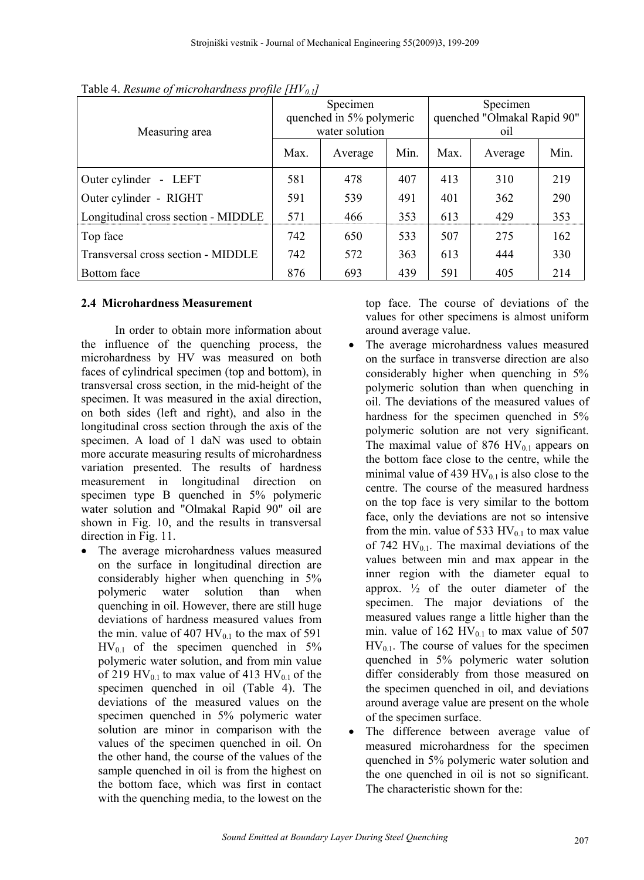|                                     | Specimen<br>quenched in 5% polymeric |         |      | Specimen<br>quenched "Olmakal Rapid 90" |         |      |
|-------------------------------------|--------------------------------------|---------|------|-----------------------------------------|---------|------|
| Measuring area                      | water solution                       |         |      | oil                                     |         |      |
|                                     | Max.                                 | Average | Min. | Max.                                    | Average | Min. |
| Outer cylinder - LEFT               | 581                                  | 478     | 407  | 413                                     | 310     | 219  |
| Outer cylinder - RIGHT              | 591                                  | 539     | 491  | 401                                     | 362     | 290  |
| Longitudinal cross section - MIDDLE | 571                                  | 466     | 353  | 613                                     | 429     | 353  |
| Top face                            | 742                                  | 650     | 533  | 507                                     | 275     | 162  |
| Transversal cross section - MIDDLE  | 742                                  | 572     | 363  | 613                                     | 444     | 330  |
| Bottom face                         | 876                                  | 693     | 439  | 591                                     | 405     | 214  |

Table 4. *Resume of microhardness profile [HV<sub>0.1</sub>]* 

## **2.4 Microhardness Measurement**

In order to obtain more information about the influence of the quenching process, the microhardness by HV was measured on both faces of cylindrical specimen (top and bottom), in transversal cross section, in the mid-height of the specimen. It was measured in the axial direction, on both sides (left and right), and also in the longitudinal cross section through the axis of the specimen. A load of 1 daN was used to obtain more accurate measuring results of microhardness variation presented. The results of hardness measurement in longitudinal direction on specimen type B quenched in 5% polymeric water solution and "Olmakal Rapid 90" oil are shown in Fig. 10, and the results in transversal direction in Fig. 11.

• The average microhardness values measured on the surface in longitudinal direction are considerably higher when quenching in 5% polymeric water solution than when quenching in oil. However, there are still huge deviations of hardness measured values from the min. value of 407  $HV_{0.1}$  to the max of 591  $HV_{0.1}$  of the specimen quenched in 5% polymeric water solution, and from min value of 219 HV<sub>0.1</sub> to max value of 413 HV<sub>0.1</sub> of the specimen quenched in oil (Table 4). The deviations of the measured values on the specimen quenched in 5% polymeric water solution are minor in comparison with the values of the specimen quenched in oil. On the other hand, the course of the values of the sample quenched in oil is from the highest on the bottom face, which was first in contact with the quenching media, to the lowest on the

top face. The course of deviations of the values for other specimens is almost uniform around average value.

- The average microhardness values measured on the surface in transverse direction are also considerably higher when quenching in 5% polymeric solution than when quenching in oil. The deviations of the measured values of hardness for the specimen quenched in  $5\%$ polymeric solution are not very significant. The maximal value of 876 HV $_{0.1}$  appears on the bottom face close to the centre, while the minimal value of 439 HV $_{0.1}$  is also close to the centre. The course of the measured hardness on the top face is very similar to the bottom face, only the deviations are not so intensive from the min. value of 533  $HV_{0.1}$  to max value of 742 HV $_{0.1}$ . The maximal deviations of the values between min and max appear in the inner region with the diameter equal to approx.  $\frac{1}{2}$  of the outer diameter of the specimen. The major deviations of the measured values range a little higher than the min. value of  $162 \text{ HV}_{0.1}$  to max value of 507  $HV_{0.1}$ . The course of values for the specimen quenched in 5% polymeric water solution differ considerably from those measured on the specimen quenched in oil, and deviations around average value are present on the whole of the specimen surface.
- The difference between average value of measured microhardness for the specimen quenched in 5% polymeric water solution and the one quenched in oil is not so significant. The characteristic shown for the: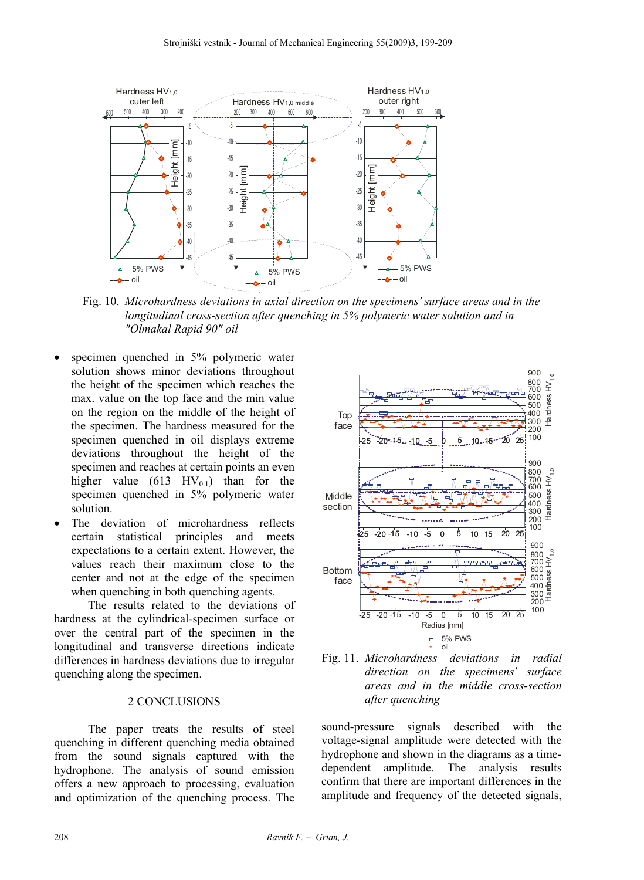

Fig. 10. *Microhardness deviations in axial direction on the specimens' surface areas and in the longitudinal cross-section after quenching in 5% polymeric water solution and in "Olmakal Rapid 90" oil* 

- specimen quenched in 5% polymeric water solution shows minor deviations throughout the height of the specimen which reaches the max. value on the top face and the min value on the region on the middle of the height of the specimen. The hardness measured for the specimen quenched in oil displays extreme deviations throughout the height of the specimen and reaches at certain points an even higher value (613 HV<sub>0.1</sub>) than for the specimen quenched in 5% polymeric water solution.
- The deviation of microhardness reflects certain statistical principles and meets expectations to a certain extent. However, the values reach their maximum close to the center and not at the edge of the specimen when quenching in both quenching agents.

The results related to the deviations of hardness at the cylindrical-specimen surface or over the central part of the specimen in the longitudinal and transverse directions indicate differences in hardness deviations due to irregular quenching along the specimen.

## 2 CONCLUSIONS

The paper treats the results of steel quenching in different quenching media obtained from the sound signals captured with the hydrophone. The analysis of sound emission offers a new approach to processing, evaluation and optimization of the quenching process. The





sound-pressure signals described with the voltage-signal amplitude were detected with the hydrophone and shown in the diagrams as a timedependent amplitude. The analysis results confirm that there are important differences in the amplitude and frequency of the detected signals,